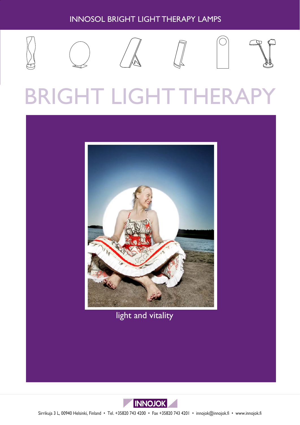# INNOSOL BRIGHT LIGHT THERAPY LAMPS











# BRIGHT LIGHT THERAPY



light and vitality



Sirrikuja 3 L, 00940 Helsinki, Finland • Tel. +35820 743 4200 • Fax +35820 743 4201 • innojok@innojok.fi • www.innojok.fi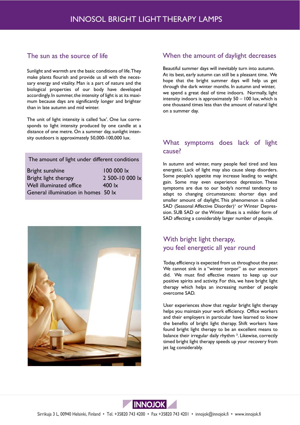#### The sun as the source of life

Sunlight and warmth are the basic conditions of life. They make plants flourish and provide us all with the necessary energy and vitality. Man is a part of nature and the biological properties of our body have developed accordingly. In summer, the intensity of light is at its maximum because days are significantly longer and brighter than in late autumn and mid winter.

The unit of light intensity is called 'lux'. One lux corresponds to light intensity produced by one candle at a distance of one metre. On a summer day, sunlight intensity outdoors is approximately 50,000-100,000 lux.

| The amount of light under different conditions |                   |
|------------------------------------------------|-------------------|
| Bright sunshine                                | 100 000 lx        |
| Bright light therapy                           | 2 500-10 000 lx   |
| Well illuminated office                        | $400 \mathrm{lx}$ |
| General illumination in homes 50 lx            |                   |



#### When the amount of daylight decreases

Beautiful summer days will inevitably turn into autumn. At its best, early autumn can still be a pleasant time. We hope that the bright summer days will help us get through the dark winter months. In autumn and winter, we spend a great deal of time indoors. Normally, light intensity indoors is approximately 50 – 100 lux, which is one thousand times less than the amount of natural light on a summer day.

#### What symptoms does lack of light cause?

In autumn and winter, many people feel tired and less energetic. Lack of light may also cause sleep disorders. Some people's appetite may increase leading to weight gain. Some may even experience depression. These symptoms are due to our body's normal tendency to adapt to changing circumstances: shorter days and smaller amount of daylight. This phenomenon is called SAD (Seasonal Affective Disorder)<sup>1</sup> or Winter Depression. SUB SAD or the Winter Blues is a milder form of SAD affecting a considerably larger number of people.

### With bright light therapy, you feel energetic all year round

Today, efficiency is expected from us throughout the year. We cannot sink in a "winter torpor" as our ancestors did. We must find effective means to keep up our positive spirits and activity. For this, we have bright light therapy which helps an increasing number of people overcome SAD.

User experiences show that regular bright light therapy helps you maintain your work efficiency. Office workers and their employers in particular have learned to know the benefits of bright light therapy. Shift workers have found bright light therapy to be an excellent means to balance their irregular daily rhythm ². Likewise, correctly timed bright light therapy speeds up your recovery from jet lag considerably.

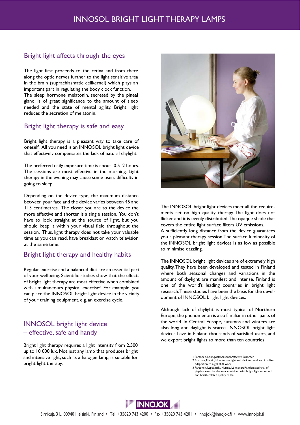#### Bright light affects through the eyes

The light first proceeds to the retina and from there along the optic nerves further to the light sensitive area in the brain (suprachiasmatic cellkernel) which plays an important part in regulating the body clock function. The sleep hormone melatonin, secreted by the pineal gland, is of great significance to the amount of sleep needed and the state of mental agility. Bright light reduces the secretion of melatonin.

#### Bright light therapy is safe and easy

Bright light therapy is a pleasant way to take care of oneself. All you need is an INNOSOL bright light device that effectively compensates the lack of natural daylight.

The preferred daily exposure time is about 0.5–2 hours. The sessions are most effective in the morning. Light therapy in the evening may cause some users difficulty in going to sleep.

Depending on the device type, the maximum distance between your face and the device varies between 45 and 115 centimetres. The closer you are to the device the more effective and shorter is a single session. You don't have to look straight at the source of light, but you should keep it within your visual field throughout the session. Thus, light therapy does not take your valuable time as you can read, have breakfast or watch television at the same time.

#### Bright light therapy and healthy habits

Regular exercise and a balanced diet are an essential part of your wellbeing. Scientific studies show that the effects of bright light therapy are most effective when combined with simultaneours physical exercise<sup>3</sup>. For example, you can place the INNOSOL bright light device in the vicinity of your training equipment, e.g. an exercise cycle.

#### INNOSOL bright light device – effective, safe and handy

Bright light therapy requires a light intensity from 2,500 up to 10 000 lux. Not just any lamp that produces bright and intensive light, such as a halogen lamp, is suitable for bright light therapy.



The INNOSOL bright light devices meet all the requirements set on high quality therapy. The light does not flicker and it is evenly distributed. The opaque shade that covers the entire light surface filters UV emissions. A sufficiently long distance from the device guarantees you a pleasant therapy session.The surface luminosity of the INNOSOL bright light devices is as low as possible to minimise dazzling.

The INNOSOL bright light devices are of extremely high quality. They have been developed and tested in Finland where both seasonal changes and variations in the amount of daylight are manifest and intense. Finland is one of the world's leading countries in bright light research. These studies have been the basis for the development of INNOSOL bright light devices.

Although lack of daylight is most typical of Northern Europe, the phenomenon is also familiar in other parts of the world. In Central Europe, autumns and winters are also long and daylight is scarce. INNOSOL bright light devices have in Finland thousands of satisfied users, and we export bright lights to more than ten countries.

> Partonen, Lönnqvist; Seasonal Affective Disorder 2 Eastman, Martin; How to use light and dark to produce circadian

adaptation to night shift work

3 Partonen, Leppämäki, Hurme, Lönnqvist; Randomized trial of physical exercise alone or combined with bright light on mood and health-related quality of life

**INNOJOK**